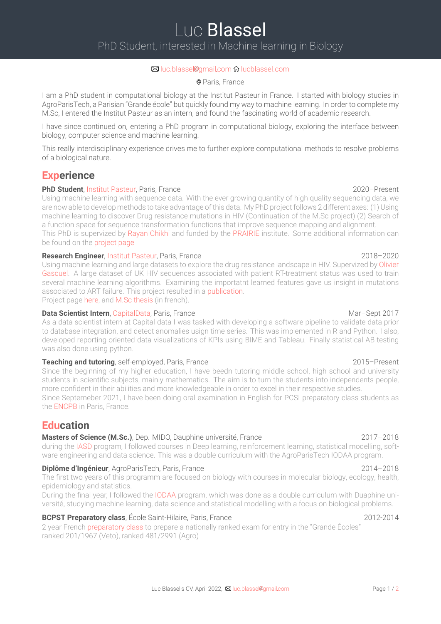### ⊠ luc.blassel@gmail.com & lucblassel.com

### Paris, France

I am a PhD student in computational biology at the Institut Pasteur in France. I started with biology studies in AgroParisTech, a Parisian "Grande école" but quickly found my way to [machine](https://lucblassel.com) learning. In order to complete my M.Sc, I entered the Institut Pasteur as an intern, and found the fascinating world of academic research.

I have since continued on, entering a PhD program in computational biology, exploring the interface between biology, computer science and machine learning.

This really interdisciplinary experience drives me to further explore computational methods to resolve problems of a biological nature.

# **Experience**

### **PhD Student**, Institut Pasteur, Paris, France 2020–Present 2020–Present

Using machine learning with sequence data. With the ever growing quantity of high quality sequencing data, we are now able to develop methods to take advantage of this data. My PhD project follows 2 different axes: (1) Using machine learning to discover Drug resistance mutations in HIV (Continuation of the M.Sc project) (2) Search of a function space for [sequence](https://www.pasteur.fr/en) transformation functions that improve sequence mapping and alignment. This PhD is supervized by Rayan Chikhi and funded by the PRAIRIE institute. Some additional information can be found on the project page

### **Research Engineer**, Institut Pasteur, Paris, France 2018–2020

Using machine learning and large [datase](http://rayan.chikhi.name/)ts to explore the drug resistance landscape in HIV. Supervized by Olivier Gascuel. A large dataset of UK HIV sequences associated [with](https://prairie-institute.fr/) patient RT-treatment status was used to train several machine [learning](https://research.pasteur.fr/en/project/applying-machine-learning-to-sequence-analysis-phd-luc-blassel-prairie/) algorithms. Examining the importatnt learned features gave us insight in mutations associated to ART f[ailure.](https://www.pasteur.fr/en) This project resulted in a publication. Project page here, and M.Sc thesis (in french).

### **[Data](https://prairie-institute.fr/chairs/gascuel-olivier/) Scientist Intern**, CapitalData, Paris, France Mar and Mar-Sept 2017

As a data scientist intern at Capital data I was tasked with developing a software pipeline to validate data prior to database integration, and detect anomalies usign time [series](#page-1-0). This was implemented in R and Python. I also, developed re[portin](https://research.pasteur.fr/en/project/drm-hiv/)g-or[iented](https://lucblassel.com/files/msc-thesis-french.pdf) data visualizations of KPIs using BIME and Tableau. Finally statistical AB-testing was also done using [python.](https://www.capitaldata.fr/)

### **Teaching and tutoring**, self-employed, Paris, France 2015–2015–Present

Since the beginning of my higher education, I have beedn tutoring middle school, high school and university students in scientific subjects, mainly mathematics. The aim is to turn the students into independents people, more confident in their abilities and more knowledgeable in order to excel in their respective studies. Since Septemeber 2021, I have been doing oral examination in English for PCSI preparatory class students as the ENCPB in Paris, France.

# **Education**

## **Masters of Science (M.Sc.)**, Dep. MIDO, Dauphine université, France 2017-2018

during [the](http://pirandello.org/index.php/nos-formations/cpge/pcsi-physique-chimie-sciences-de-l-ingenieur) IASD program, I followed courses in Deep learning, reinforcement learning, statistical modelling, software engineering and data science. This was a double curriculum with the AgroParisTech IODAA program.

## **Diplôme d'Ingénieur**, AgroParisTech, Paris, France 2014–2018

The first two years of this programm are focused on biology with courses in molecular biology, ecology, health, epidemiol[ogy](https://dauphine.psl.eu/formations/masters/informatique/m2-intelligence-artificielle-systemes-donnees) and statistics.

During the final year, I followed the IODAA program, which was done as a double curriculum with Duaphine université, studying machine learning, data science and statistical modelling with a focus on biological problems.

## **BCPST Preparatory class**, École Saint-Hilaire, Paris, France 2012-2014

2 year French preparatory class to [prepare](http://www2.agroparistech.fr/ufr-info/iodaa/) a nationally ranked exam for entry in the "Grande Écoles" ranked 201/1967 (Veto), ranked 481/2991 (Agro)